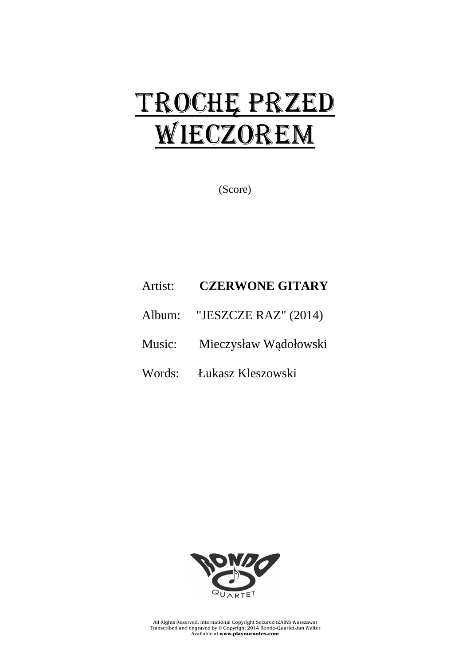## TROCHĘ PRZED WIECZOREM

(Score)

## Artist: **CZERWONE GITARY**

- Album: "JESZCZE RAZ" (2014)
- Music: Mieczysław Wądołowski
- Words: Łukasz Kleszowski



All Rights Reserved. International Copyright Secured (ZAiKS Warszawa) Transcribed and engraved by © Copyright 2014 Rondo-Quartet-Jan Walter Available at **www.playournotes.com**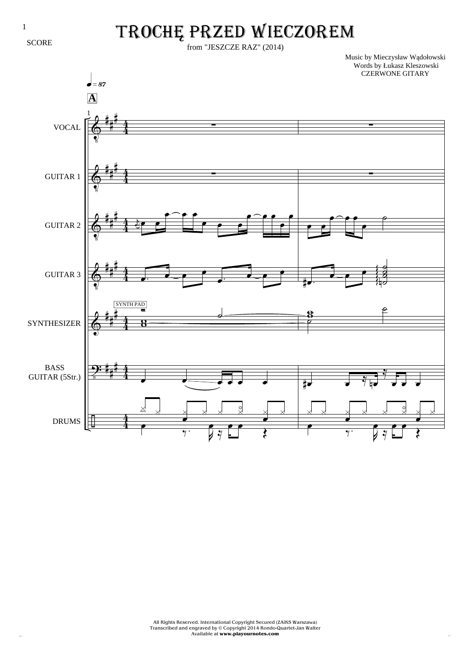**SCORE** 

## TROCHĘ PRZED WIECZOREM

from "JESZCZE RAZ" (2014)

Music by Mieczysław Wądołowski

 $\Phi$  $\pmb{\phi}$  $\Phi$  $\pmb{\phi}$  $\pmb{\mathbb{\lozenge}}$ T: ÷ # # # # # # # # # # # # # # # # # # 4 4 4 4 4 4 4 4 4 4 4 4 4 4 VOCAL GUITAR 1 GUITAR 2 GUITAR 3 SYNTHESIZER BASS GUITAR (5Str.) DRUMS 1 ∑ ∑ ĥ ص ص  $\overline{\mathbf{e}^{\frown} \mathbf{e}}$  $\bullet$   $\bullet$   $\bullet$ <u>e e e</u> œ œ  $\overline{\bullet}$ . <u>Je</u> œ œ.  $\overline{\ }$ œ  $\overline{8}$ Ó SYNTH PAD  $\overline{a}$  $\overline{\cdot}$   $\overline{\cdot}$   $\overline{\cdot}$   $\overline{\cdot}$   $\overline{\cdot}$   $\overline{\cdot}$   $\overline{\cdot}$  $\times$  $\overline{\phantom{a}}$   $\times$  $\geq$  $\begin{array}{ccccc} & & & & & & \\ & & & & & & \\ \hline \times & & & & & & \end{array}$  $\geq$  $\times$ A  $\overline{\mathcal{M}}$ J Þ A ≈  $\overline{\bullet}$   $\overline{\bullet}$  $\overline{\mathfrak{z}}$ q»•¶ **A** ∑ ∑  $\overline{\mathbf{e}}$  $\overline{\phantom{a}}$ œ e<br>F .œ#  $\frac{1}{\epsilon}$ œ ˙  $\frac{1}{2}$ ˙ fø g g Ş g g  $\frac{8}{7}$ ë<br>P  $\epsilon$ œ# œ ≈ œn ≈ **.**  $\overline{\phantom{a}}$   $\overline{\phantom{a}}$   $\overline{\phantom{a}}$   $\overline{\phantom{a}}$  $\geq$ C C D C  $\geq$  $\times$  $\overline{\bullet}$  $\overline{y}$ J  $\overline{\phantom{a}}$ A ≈  $\overline{\bullet}$   $\overline{\bullet}$ Œ Words by Łukasz Kleszowski CZERWONE GITARY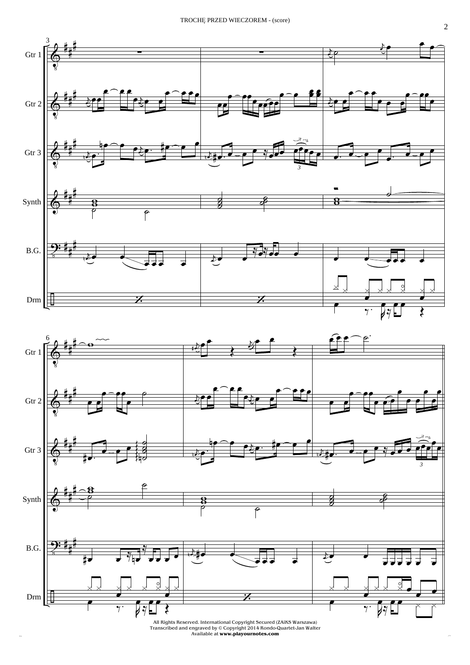

All Rights Reserved. International Copyright Secured (ZAiKS Warszawa)<br>Transcribed and engraved by © Copyright 2014 Rondo-Quartet-Jan Walter<br>Available at **www.playournotes.com**